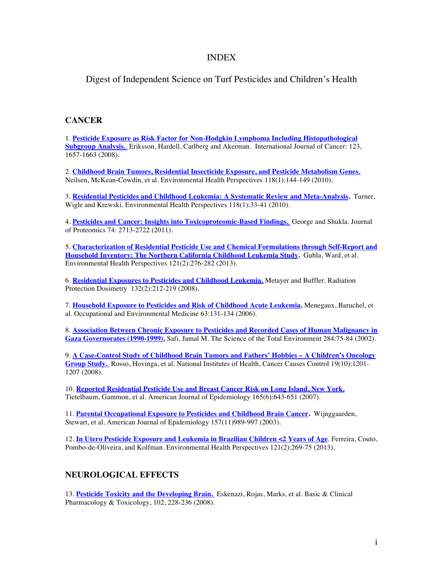### INDEX

Digest of Independent Science on Turf Pesticides and Children's Health

## **CANCER**

1. **Pesticide Exposure as Risk Factor for Non-Hodgkin Lymphoma Including Histopathological Subgroup Analysis.** Eriksson, Hardell, Carlberg and Akerman. International Journal of Cancer: 123, 1657-1663 (2008).

2. **Childhood Brain Tumors, Residential Insecticide Exposure, and Pesticide Metabolism Genes.** Neilsen, McKean-Cowdin, et al. Environmental Health Perspectives 118(1):144-149 (2010).

3. **Residential Pesticides and Childhood Leukemia: A Systematic Review and Meta-Analysis.** Turner, Wigle and Krewski. Environmental Health Perspectives 118(1):33-41 (2010).

4. **Pesticides and Cancer: Insights into Toxicoproteomic-Based Findings.** George and Shukla. Journal of Proteomics 74: 2713-2722 (2011).

5. **Characterization of Residential Pesticide Use and Chemical Formulations through Self-Report and Household Inventory: The Northern California Childhood Leukemia Study.** Guhla, Ward, et al. Environmental Health Perspectives 121(2):276-282 (2013).

6. **Residential Exposures to Pesticides and Childhood Leukemia.** Metayer and Buffler. Radiation Protection Dosimetry 132(2):212-219 (2008).

7. **Household Exposure to Pesticides and Risk of Childhood Acute Leukemia.** Menegaux, Baruchel, et al. Occupational and Environmental Medicine 63:131-134 (2006).

8. **Association Between Chronic Exposure to Pesticides and Recorded Cases of Human Malignancy in Gaza Governorates (1990-1999).** Safi, Jamal M. The Science of the Total Environment 284:75-84 (2002).

9. **A Case-Control Study of Childhood Brain Tumors and Fathers' Hobbies – A Children's Oncology Group Study.** Rosso, Hovinga, et al. National Institutes of Health, Cancer Causes Control 19(10):1201- 1207 (2008).

10. **Reported Residential Pesticide Use and Breast Cancer Risk on Long Island, New York.**  Tietelbaum, Gammon, et al. American Journal of Epidemiology 165(6):643-651 (2007).

11. **Parental Occupational Exposure to Pesticides and Childhood Brain Cancer.** Wijnggaarden, Stewart, et al. American Journal of Epidemiology 157(11)989-997 (2003).

12. **In Utero Pesticide Exposure and Leukemia in Brazilian Children <2 Years of Age**. Ferreira, Couto, Pombo-de-Oliveira, and Kolfman. Environmental Health Perspectives 121(2):269-75 (2013).

# **NEUROLOGICAL EFFECTS**

13. **Pesticide Toxicity and the Developing Brain.** Eskenazi, Rojas, Marks, et al. Basic & Clinical Pharmacology & Toxicology, 102, 228-236 (2008).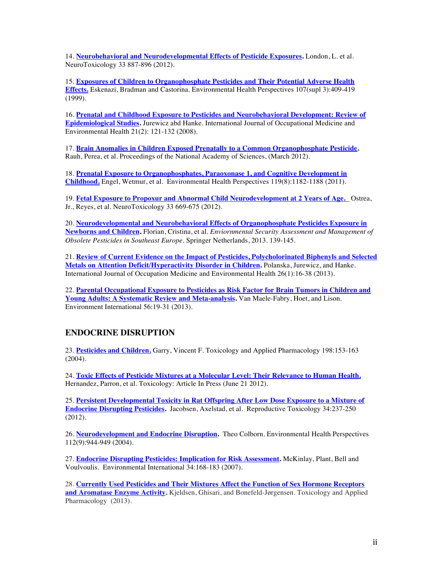14. **Neurobehavioral and Neurodevelopmental Effects of Pesticide Exposures.** London, L. et al. NeuroToxicology 33 887-896 (2012).

15. **Exposures of Children to Organophosphate Pesticides and Their Potential Adverse Health Effects.** Eskenazi, Bradman and Castorina. Environmental Health Perspectives 107(supl 3):409-419 (1999).

16. **Prenatal and Childhood Exposure to Pesticides and Neurobehavioral Development: Review of Epidemiological Studies.** Jurewicz abd Hanke. International Journal of Occupational Medicine and Environmental Health 21(2): 121-132 (2008).

17. **Brain Anomalies in Children Exposed Prenatally to a Common Organophosphate Pesticide.**  Rauh, Perea, et al. Proceedings of the National Academy of Sciences, (March 2012).

18. **Prenatal Exposure to Organophosphates, Paraoxonase 1, and Cognitive Development in Childhood.** Engel, Wetmur, et al. Environmental Health Perspectives 119(8):1182-1188 (2011).

19. **Fetal Exposure to Propoxur and Abnormal Child Neurodevelopment at 2 Years of Age.** Ostrea, Jr., Reyes, et al. NeuroToxicology 33 669-675 (2012).

20. **Neurodevelopmental and Neurobehavioral Effects of Organophosphate Pesticides Exposure in Newborns and Children.** Florian, Cristina, et al. *Enviornmental Security Assessment and Management of Obsolete Pesticides in Southeast Europe.* Springer Netherlands, 2013. 139-145.

21. **Review of Current Evidence on the Impact of Pesticides, Polycholorinated Biphenyls and Selected Metals on Attention Deficit/Hyperactivity Disorder in Children.** Polanska, Jurewicz, and Hanke. International Journal of Occupation Medicine and Environmental Health 26(1):16-38 (2013).

22. **Parental Occupational Exposure to Pesticides as Risk Factor for Brain Tumors in Children and Young Adults: A Systematic Review and Meta-analysis.** Van Maele-Fabry, Hoet, and Lison. Environment International 56:19-31 (2013).

#### **ENDOCRINE DISRUPTION**

23. **Pesticides and Children.** Garry, Vincent F. Toxicology and Applied Pharmacology 198:153-163 (2004).

24. **Toxic Effects of Pesticide Mixtures at a Molecular Level: Their Relevance to Human Health.**  Hernandez, Parron, et al. Toxicology: Article In Press (June 21 2012).

25. **Persistent Developmental Toxicity in Rat Offspring After Low Dose Exposure to a Mixture of Endocrine Disrupting Pesticides.** Jacobsen, Axelstad, et al. Reproductive Toxicology 34:237-250 (2012).

26. **Neurodevelopment and Endocrine Disruption.** Theo Colborn. Environmental Health Perspectives 112(9):944-949 (2004).

27. **Endocrine Disrupting Pesticides: Implication for Risk Assessment.** McKinlay, Plant, Bell and Voulvoulis. Environmental International 34:168-183 (2007).

28. **Currently Used Pesticides and Their Mixtures Affect the Function of Sex Hormone Receptors and Aromatase Enzyme Activity.** Kjeldsen, Ghisari, and Bonefeld-Jørgensen. Toxicology and Applied Pharmacology (2013).